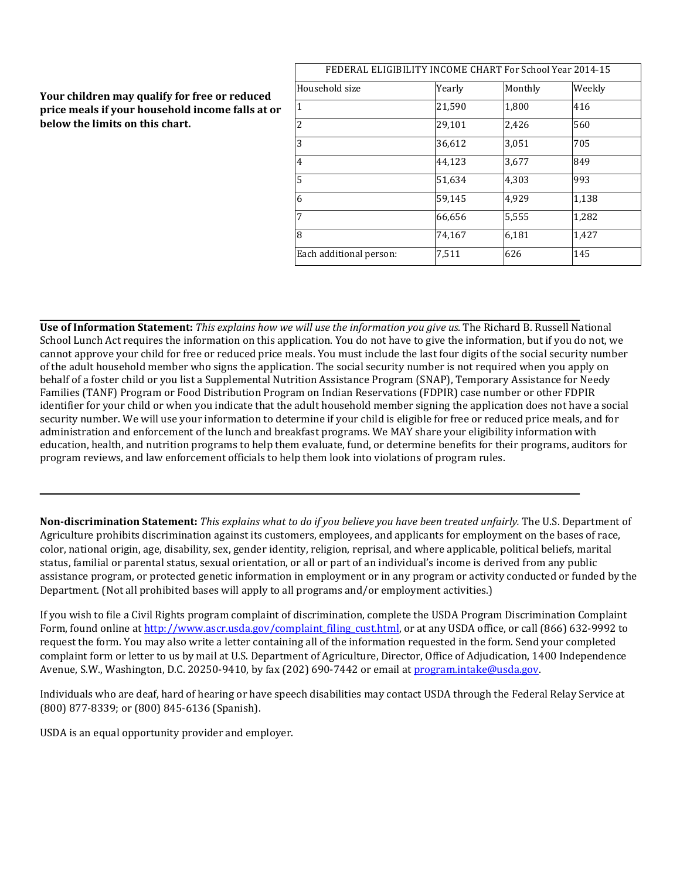### **Your children may qualify for free or reduced price meals if your household income falls at or below the limits on this chart.**

| FEDERAL ELIGIBILITY INCOME CHART For School Year 2014-15 |        |         |        |  |  |
|----------------------------------------------------------|--------|---------|--------|--|--|
| Household size                                           | Yearly | Monthly | Weekly |  |  |
| $\overline{1}$                                           | 21,590 | 1,800   | 416    |  |  |
| $\overline{2}$                                           | 29,101 | 2,426   | 560    |  |  |
| $\overline{3}$                                           | 36,612 | 3,051   | 705    |  |  |
| $\overline{4}$                                           | 44,123 | 3,677   | 849    |  |  |
| $\overline{5}$                                           | 51,634 | 4,303   | 993    |  |  |
| $\overline{6}$                                           | 59,145 | 4,929   | 1,138  |  |  |
| 7                                                        | 66,656 | 5,555   | 1,282  |  |  |
| $\overline{8}$                                           | 74,167 | 6,181   | 1,427  |  |  |
| Each additional person:                                  | 7,511  | 626     | 145    |  |  |

**Use of Information Statement:** *This explains how we will use the information you give us.* The Richard B. Russell National School Lunch Act requires the information on this application. You do not have to give the information, but if you do not, we cannot approve your child for free or reduced price meals. You must include the last four digits of the social security number of the adult household member who signs the application. The social security number is not required when you apply on behalf of a foster child or you list a Supplemental Nutrition Assistance Program (SNAP), Temporary Assistance for Needy Families (TANF) Program or Food Distribution Program on Indian Reservations (FDPIR) case number or other FDPIR identifier for your child or when you indicate that the adult household member signing the application does not have a social security number. We will use your information to determine if your child is eligible for free or reduced price meals, and for administration and enforcement of the lunch and breakfast programs. We MAY share your eligibility information with education, health, and nutrition programs to help them evaluate, fund, or determine benefits for their programs, auditors for program reviews, and law enforcement officials to help them look into violations of program rules.

**Non-discrimination Statement:** *This explains what to do if you believe you have been treated unfairly.* The U.S. Department of Agriculture prohibits discrimination against its customers, employees, and applicants for employment on the bases of race, color, national origin, age, disability, sex, gender identity, religion, reprisal, and where applicable, political beliefs, marital status, familial or parental status, sexual orientation, or all or part of an individual's income is derived from any public assistance program, or protected genetic information in employment or in any program or activity conducted or funded by the Department. (Not all prohibited bases will apply to all programs and/or employment activities.)

If you wish to file a Civil Rights program complaint of discrimination, complete the USDA Program Discrimination Complaint Form, found online at [http://www.ascr.usda.gov/complaint\\_filing\\_cust.html,](http://www.ascr.usda.gov/complaint_filing_cust.html) or at any USDA office, or call (866) 632-9992 to request the form. You may also write a letter containing all of the information requested in the form. Send your completed complaint form or letter to us by mail at U.S. Department of Agriculture, Director, Office of Adjudication, 1400 Independence Avenue, S.W., Washington, D.C. 20250-9410, by fax (202) 690-7442 or email at program.intake@usda.gov.

Individuals who are deaf, hard of hearing or have speech disabilities may contact USDA through the Federal Relay Service at (800) 877-8339; or (800) 845-6136 (Spanish).

USDA is an equal opportunity provider and employer.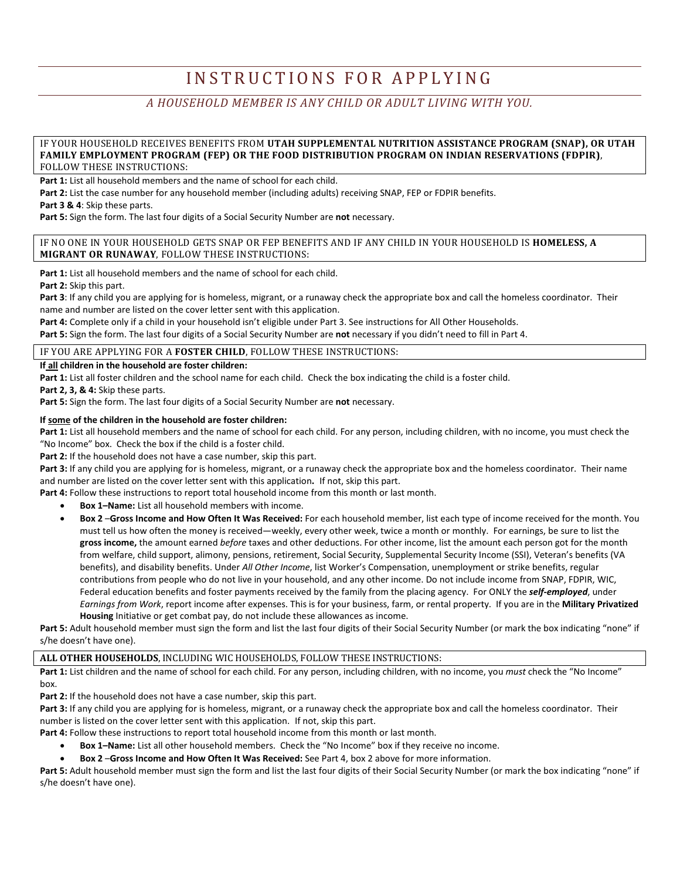# INSTRUCTIONS FOR APPLYING

## *A HOUSEHOLD MEMBER IS ANY CHILD OR ADULT LIVING WITH YOU.*

#### IF YOUR HOUSEHOLD RECEIVES BENEFITS FROM **UTAH SUPPLEMENTAL NUTRITION ASSISTANCE PROGRAM (SNAP), OR UTAH FAMILY EMPLOYMENT PROGRAM (FEP) OR THE FOOD DISTRIBUTION PROGRAM ON INDIAN RESERVATIONS (FDPIR)**, FOLLOW THESE INSTRUCTIONS:

Part 1: List all household members and the name of school for each child.

**Part 2:** List the case number for any household member (including adults) receiving SNAP, FEP or FDPIR benefits.

**Part 3 & 4**: Skip these parts.

**Part 5:** Sign the form. The last four digits of a Social Security Number are **not** necessary.

#### IF NO ONE IN YOUR HOUSEHOLD GETS SNAP OR FEP BENEFITS AND IF ANY CHILD IN YOUR HOUSEHOLD IS **HOMELESS, A MIGRANT OR RUNAWAY**, FOLLOW THESE INSTRUCTIONS:

Part 1: List all household members and the name of school for each child.

**Part 2:** Skip this part.

**Part 3**: If any child you are applying for is homeless, migrant, or a runaway check the appropriate box and call the homeless coordinator. Their name and number are listed on the cover letter sent with this application.

**Part 4:** Complete only if a child in your household isn't eligible under Part 3. See instructions for All Other Households.

**Part 5:** Sign the form. The last four digits of a Social Security Number are **not** necessary if you didn't need to fill in Part 4.

#### IF YOU ARE APPLYING FOR A **FOSTER CHILD**, FOLLOW THESE INSTRUCTIONS:

**If all children in the household are foster children:** 

Part 1: List all foster children and the school name for each child. Check the box indicating the child is a foster child.

**Part 2, 3, & 4:** Skip these parts.

**Part 5:** Sign the form. The last four digits of a Social Security Number are **not** necessary.

#### **If some of the children in the household are foster children:**

**Part 1:** List all household members and the name of school for each child. For any person, including children, with no income, you must check the "No Income" box. Check the box if the child is a foster child.

Part 2: If the household does not have a case number, skip this part.

Part 3: If any child you are applying for is homeless, migrant, or a runaway check the appropriate box and the homeless coordinator. Their name and number are listed on the cover letter sent with this application**.** If not, skip this part.

Part 4: Follow these instructions to report total household income from this month or last month.

- **Box 1–Name:** List all household members with income.
- **Box 2** –**Gross Income and How Often It Was Received:** For each household member, list each type of income received for the month. You must tell us how often the money is received—weekly, every other week, twice a month or monthly. For earnings, be sure to list the **gross income,** the amount earned *before* taxes and other deductions. For other income, list the amount each person got for the month from welfare, child support, alimony, pensions, retirement, Social Security, Supplemental Security Income (SSI), Veteran's benefits (VA benefits), and disability benefits. Under *All Other Income*, list Worker's Compensation, unemployment or strike benefits, regular contributions from people who do not live in your household, and any other income. Do not include income from SNAP, FDPIR, WIC, Federal education benefits and foster payments received by the family from the placing agency. For ONLY the *self-employed*, under *Earnings from Work*, report income after expenses. This is for your business, farm, or rental property. If you are in the **Military Privatized Housing** Initiative or get combat pay, do not include these allowances as income.

Part 5: Adult household member must sign the form and list the last four digits of their Social Security Number (or mark the box indicating "none" if s/he doesn't have one).

**ALL OTHER HOUSEHOLDS**, INCLUDING WIC HOUSEHOLDS, FOLLOW THESE INSTRUCTIONS:

**Part 1:** List children and the name of school for each child. For any person, including children, with no income, you *must* check the "No Income" box.

**Part 2:** If the household does not have a case number, skip this part.

**Part 3:** If any child you are applying for is homeless, migrant, or a runaway check the appropriate box and call the homeless coordinator. Their number is listed on the cover letter sent with this application.If not, skip this part.

Part 4: Follow these instructions to report total household income from this month or last month.

- **Box 1–Name:** List all other household members. Check the "No Income" box if they receive no income.
- **Box 2** –**Gross Income and How Often It Was Received:** See Part 4, box 2 above for more information.

**Part 5:** Adult household member must sign the form and list the last four digits of their Social Security Number (or mark the box indicating "none" if s/he doesn't have one).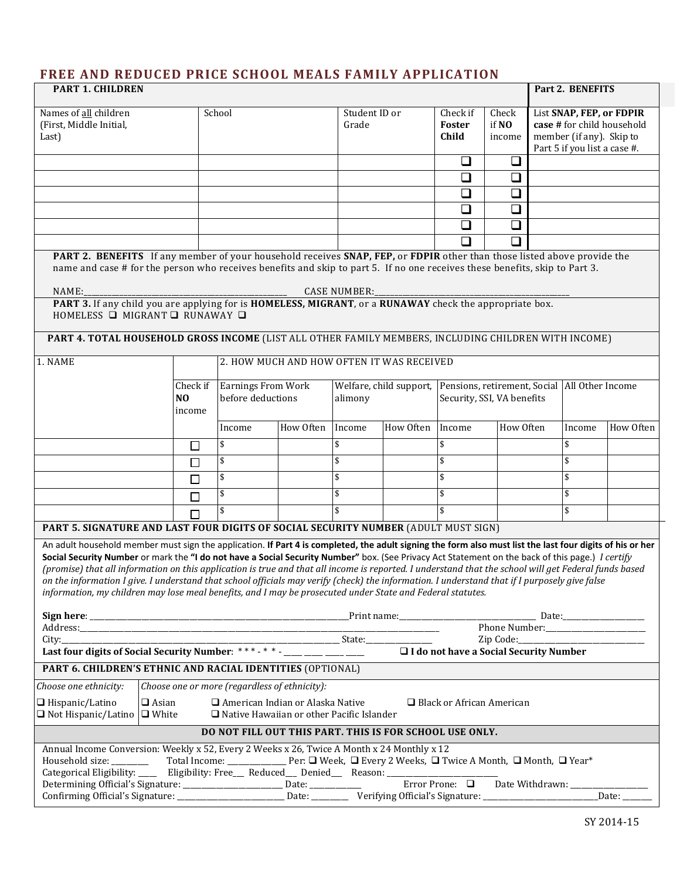# **FREE AND REDUCED PRICE SCHOOL MEALS FAMILY APPLICATION**

| <b>PART 1. CHILDREN</b>                                                                                                                                                                                                                                                                                                                                                                                                                                                                                                                                                                                                                                                                                                               |                                               |                                                |                                                                                                 |                        |                         |                                                 | Part 2. BENEFITS           |                                                                                                                    |                          |                |
|---------------------------------------------------------------------------------------------------------------------------------------------------------------------------------------------------------------------------------------------------------------------------------------------------------------------------------------------------------------------------------------------------------------------------------------------------------------------------------------------------------------------------------------------------------------------------------------------------------------------------------------------------------------------------------------------------------------------------------------|-----------------------------------------------|------------------------------------------------|-------------------------------------------------------------------------------------------------|------------------------|-------------------------|-------------------------------------------------|----------------------------|--------------------------------------------------------------------------------------------------------------------|--------------------------|----------------|
| Names of all children<br>(First, Middle Initial,<br>Last)                                                                                                                                                                                                                                                                                                                                                                                                                                                                                                                                                                                                                                                                             |                                               | School                                         |                                                                                                 | Student ID or<br>Grade |                         | Check if<br>Foster<br>Child                     | Check<br>if NO<br>income   | List SNAP, FEP, or FDPIR<br>case # for child household<br>member (if any). Skip to<br>Part 5 if you list a case #. |                          |                |
|                                                                                                                                                                                                                                                                                                                                                                                                                                                                                                                                                                                                                                                                                                                                       |                                               |                                                |                                                                                                 |                        |                         | ❏                                               | $\Box$                     |                                                                                                                    |                          |                |
|                                                                                                                                                                                                                                                                                                                                                                                                                                                                                                                                                                                                                                                                                                                                       |                                               |                                                |                                                                                                 |                        |                         | ❏                                               | ❏                          |                                                                                                                    |                          |                |
|                                                                                                                                                                                                                                                                                                                                                                                                                                                                                                                                                                                                                                                                                                                                       |                                               |                                                |                                                                                                 |                        |                         | ❏<br>◻                                          | ❏<br>$\Box$                |                                                                                                                    |                          |                |
|                                                                                                                                                                                                                                                                                                                                                                                                                                                                                                                                                                                                                                                                                                                                       |                                               |                                                |                                                                                                 |                        |                         | ❏                                               | $\Box$                     |                                                                                                                    |                          |                |
|                                                                                                                                                                                                                                                                                                                                                                                                                                                                                                                                                                                                                                                                                                                                       |                                               |                                                |                                                                                                 |                        |                         | $\Box$                                          | $\Box$                     |                                                                                                                    |                          |                |
| PART 2. BENEFITS If any member of your household receives SNAP, FEP, or FDPIR other than those listed above provide the<br>name and case # for the person who receives benefits and skip to part 5. If no one receives these benefits, skip to Part 3.                                                                                                                                                                                                                                                                                                                                                                                                                                                                                |                                               |                                                |                                                                                                 |                        |                         |                                                 |                            |                                                                                                                    |                          |                |
| NAME:                                                                                                                                                                                                                                                                                                                                                                                                                                                                                                                                                                                                                                                                                                                                 |                                               |                                                |                                                                                                 | <b>CASE NUMBER:</b>    |                         |                                                 |                            |                                                                                                                    |                          |                |
| PART 3. If any child you are applying for is HOMELESS, MIGRANT, or a RUNAWAY check the appropriate box.<br>HOMELESS $\Box$ MIGRANT $\Box$ RUNAWAY $\Box$                                                                                                                                                                                                                                                                                                                                                                                                                                                                                                                                                                              |                                               |                                                |                                                                                                 |                        |                         |                                                 |                            |                                                                                                                    |                          |                |
| PART 4. TOTAL HOUSEHOLD GROSS INCOME (LIST ALL OTHER FAMILY MEMBERS, INCLUDING CHILDREN WITH INCOME)                                                                                                                                                                                                                                                                                                                                                                                                                                                                                                                                                                                                                                  |                                               |                                                |                                                                                                 |                        |                         |                                                 |                            |                                                                                                                    |                          |                |
| 1. NAME                                                                                                                                                                                                                                                                                                                                                                                                                                                                                                                                                                                                                                                                                                                               |                                               | 2. HOW MUCH AND HOW OFTEN IT WAS RECEIVED      |                                                                                                 |                        |                         |                                                 |                            |                                                                                                                    |                          |                |
|                                                                                                                                                                                                                                                                                                                                                                                                                                                                                                                                                                                                                                                                                                                                       | Check if<br>N <sub>O</sub><br>income          | <b>Earnings From Work</b><br>before deductions |                                                                                                 | alimony                | Welfare, child support, | Pensions, retirement, Social   All Other Income | Security, SSI, VA benefits |                                                                                                                    |                          |                |
|                                                                                                                                                                                                                                                                                                                                                                                                                                                                                                                                                                                                                                                                                                                                       |                                               | Income                                         | How Often                                                                                       | Income                 | How Often               | Income                                          | How Often                  |                                                                                                                    | Income                   | How Often      |
|                                                                                                                                                                                                                                                                                                                                                                                                                                                                                                                                                                                                                                                                                                                                       | $\Box$                                        | \$                                             |                                                                                                 | \$                     |                         | \$                                              |                            |                                                                                                                    | \$                       |                |
|                                                                                                                                                                                                                                                                                                                                                                                                                                                                                                                                                                                                                                                                                                                                       | П                                             | \$                                             |                                                                                                 | \$                     |                         | \$                                              |                            |                                                                                                                    | \$                       |                |
|                                                                                                                                                                                                                                                                                                                                                                                                                                                                                                                                                                                                                                                                                                                                       | П                                             | \$                                             |                                                                                                 | \$                     |                         | \$                                              |                            |                                                                                                                    | \$                       |                |
|                                                                                                                                                                                                                                                                                                                                                                                                                                                                                                                                                                                                                                                                                                                                       | $\Box$                                        | \$                                             |                                                                                                 | \$                     |                         | \$                                              |                            |                                                                                                                    | \$                       |                |
|                                                                                                                                                                                                                                                                                                                                                                                                                                                                                                                                                                                                                                                                                                                                       |                                               |                                                |                                                                                                 | \$                     |                         | \$                                              |                            |                                                                                                                    | \$                       |                |
| PART 5. SIGNATURE AND LAST FOUR DIGITS OF SOCIAL SECURITY NUMBER (ADULT MUST SIGN)                                                                                                                                                                                                                                                                                                                                                                                                                                                                                                                                                                                                                                                    |                                               |                                                |                                                                                                 |                        |                         |                                                 |                            |                                                                                                                    |                          |                |
| An adult household member must sign the application. If Part 4 is completed, the adult signing the form also must list the last four digits of his or her<br>Social Security Number or mark the "I do not have a Social Security Number" box. (See Privacy Act Statement on the back of this page.) I certify<br>(promise) that all information on this application is true and that all income is reported. I understand that the school will get Federal funds based<br>on the information I give. I understand that school officials may verify (check) the information. I understand that if I purposely give false<br>information, my children may lose meal benefits, and I may be prosecuted under State and Federal statutes. |                                               |                                                |                                                                                                 |                        |                         |                                                 |                            |                                                                                                                    |                          |                |
|                                                                                                                                                                                                                                                                                                                                                                                                                                                                                                                                                                                                                                                                                                                                       |                                               |                                                |                                                                                                 |                        |                         |                                                 |                            |                                                                                                                    |                          |                |
| Last four digits of Social Security Number: ***-* * - ____ ___ ___ ___                                                                                                                                                                                                                                                                                                                                                                                                                                                                                                                                                                                                                                                                |                                               |                                                |                                                                                                 |                        |                         | □ I do not have a Social Security Number        |                            |                                                                                                                    |                          |                |
| PART 6. CHILDREN'S ETHNIC AND RACIAL IDENTITIES (OPTIONAL)                                                                                                                                                                                                                                                                                                                                                                                                                                                                                                                                                                                                                                                                            |                                               |                                                |                                                                                                 |                        |                         |                                                 |                            |                                                                                                                    |                          |                |
| Choose one ethnicity:                                                                                                                                                                                                                                                                                                                                                                                                                                                                                                                                                                                                                                                                                                                 | Choose one or more (regardless of ethnicity): |                                                |                                                                                                 |                        |                         |                                                 |                            |                                                                                                                    |                          |                |
| □ Hispanic/Latino<br>$\Box$ Not Hispanic/Latino $\Box$ White                                                                                                                                                                                                                                                                                                                                                                                                                                                                                                                                                                                                                                                                          | $\Box$ Asian                                  |                                                | $\Box$ American Indian or Alaska Native<br>$\Box$ Native Hawaiian or other Pacific Islander     |                        |                         | $\Box$ Black or African American                |                            |                                                                                                                    |                          |                |
|                                                                                                                                                                                                                                                                                                                                                                                                                                                                                                                                                                                                                                                                                                                                       |                                               |                                                | DO NOT FILL OUT THIS PART. THIS IS FOR SCHOOL USE ONLY.                                         |                        |                         |                                                 |                            |                                                                                                                    |                          |                |
| Annual Income Conversion: Weekly x 52, Every 2 Weeks x 26, Twice A Month x 24 Monthly x 12<br>Household size: _______                                                                                                                                                                                                                                                                                                                                                                                                                                                                                                                                                                                                                 |                                               |                                                | Total Income: _________________ Per: □ Week, □ Every 2 Weeks, □ Twice A Month, □ Month, □ Year* |                        |                         |                                                 |                            |                                                                                                                    | Date Withdrawn: ________ | $\Delta$ Date: |